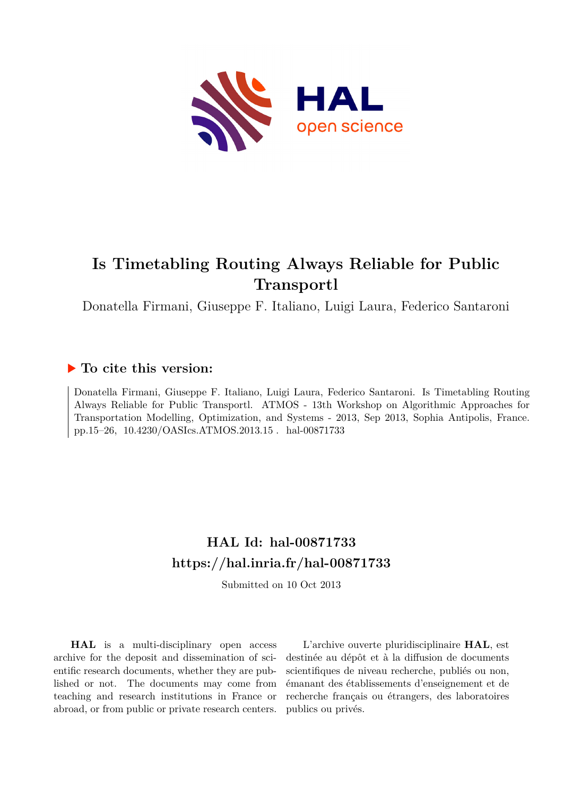

# **Is Timetabling Routing Always Reliable for Public Transportl**

Donatella Firmani, Giuseppe F. Italiano, Luigi Laura, Federico Santaroni

## **To cite this version:**

Donatella Firmani, Giuseppe F. Italiano, Luigi Laura, Federico Santaroni. Is Timetabling Routing Always Reliable for Public Transportl. ATMOS - 13th Workshop on Algorithmic Approaches for Transportation Modelling, Optimization, and Systems - 2013, Sep 2013, Sophia Antipolis, France. pp.15–26, 10.4230/OASIcs.ATMOS.2013.15 . hal-00871733

## **HAL Id: hal-00871733 <https://hal.inria.fr/hal-00871733>**

Submitted on 10 Oct 2013

**HAL** is a multi-disciplinary open access archive for the deposit and dissemination of scientific research documents, whether they are published or not. The documents may come from teaching and research institutions in France or abroad, or from public or private research centers.

L'archive ouverte pluridisciplinaire **HAL**, est destinée au dépôt et à la diffusion de documents scientifiques de niveau recherche, publiés ou non, émanant des établissements d'enseignement et de recherche français ou étrangers, des laboratoires publics ou privés.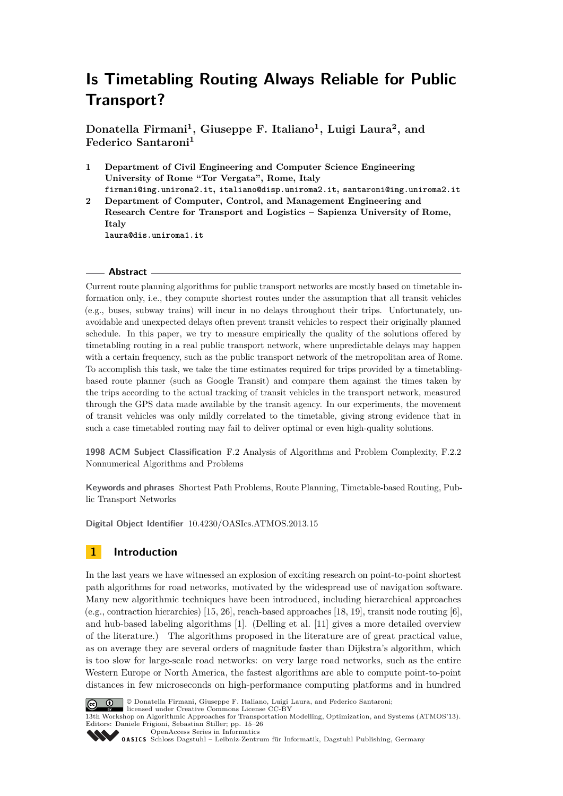## **Is Timetabling Routing Always Reliable for Public Transport?**

**Donatella Firmani<sup>1</sup> , Giuseppe F. Italiano<sup>1</sup> , Luigi Laura<sup>2</sup> , and Federico Santaroni<sup>1</sup>**

**1 Department of Civil Engineering and Computer Science Engineering University of Rome "Tor Vergata", Rome, Italy firmani@ing.uniroma2.it, italiano@disp.uniroma2.it, santaroni@ing.uniroma2.it 2 Department of Computer, Control, and Management Engineering and Research Centre for Transport and Logistics – Sapienza University of Rome, Italy**

**laura@dis.uniroma1.it**

### **Abstract**

Current route planning algorithms for public transport networks are mostly based on timetable information only, i.e., they compute shortest routes under the assumption that all transit vehicles (e.g., buses, subway trains) will incur in no delays throughout their trips. Unfortunately, unavoidable and unexpected delays often prevent transit vehicles to respect their originally planned schedule. In this paper, we try to measure empirically the quality of the solutions offered by timetabling routing in a real public transport network, where unpredictable delays may happen with a certain frequency, such as the public transport network of the metropolitan area of Rome. To accomplish this task, we take the time estimates required for trips provided by a timetablingbased route planner (such as Google Transit) and compare them against the times taken by the trips according to the actual tracking of transit vehicles in the transport network, measured through the GPS data made available by the transit agency. In our experiments, the movement of transit vehicles was only mildly correlated to the timetable, giving strong evidence that in such a case timetabled routing may fail to deliver optimal or even high-quality solutions.

**1998 ACM Subject Classification** F.2 Analysis of Algorithms and Problem Complexity, F.2.2 Nonnumerical Algorithms and Problems

**Keywords and phrases** Shortest Path Problems, Route Planning, Timetable-based Routing, Public Transport Networks

**Digital Object Identifier** [10.4230/OASIcs.ATMOS.2013.15](http://dx.doi.org/10.4230/OASIcs.ATMOS.2013.15)

## **1 Introduction**

In the last years we have witnessed an explosion of exciting research on point-to-point shortest path algorithms for road networks, motivated by the widespread use of navigation software. Many new algorithmic techniques have been introduced, including hierarchical approaches (e.g., contraction hierarchies) [15, 26], reach-based approaches [18, 19], transit node routing [6], and hub-based labeling algorithms [1]. (Delling et al. [11] gives a more detailed overview of the literature.) The algorithms proposed in the literature are of great practical value, as on average they are several orders of magnitude faster than Dijkstra's algorithm, which is too slow for large-scale road networks: on very large road networks, such as the entire Western Europe or North America, the fastest algorithms are able to compute point-to-point distances in few microseconds on high-performance computing platforms and in hundred



© Donatella Firmani, Giuseppe F. Italiano, Luigi Laura, and Federico Santaroni;

licensed under Creative Commons License CC-BY 13th Workshop on Algorithmic Approaches for Transportation Modelling, Optimization, and Systems (ATMOS'13). Editors: Daniele Frigioni, Sebastian Stiller; pp. 15–26

[OpenAccess Series in Informatics](http://www.dagstuhl.de/oasics/)

[Schloss Dagstuhl – Leibniz-Zentrum für Informatik, Dagstuhl Publishing, Germany](http://www.dagstuhl.de/)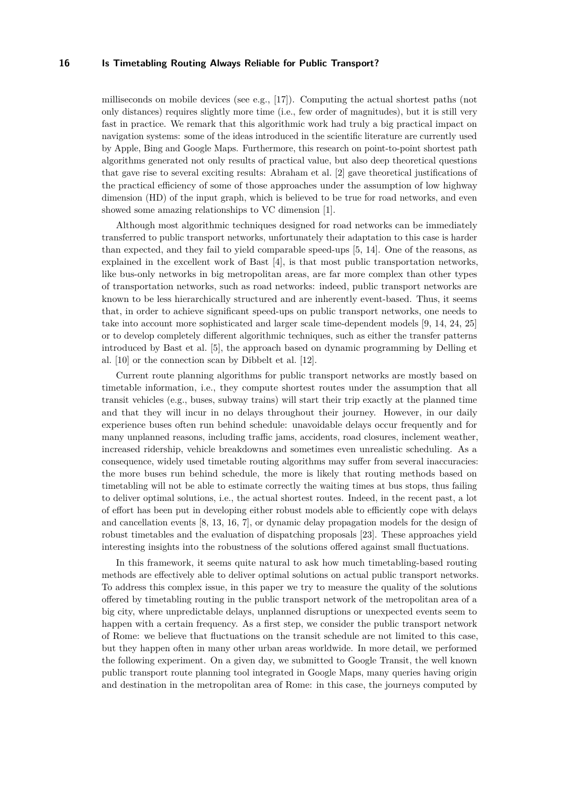#### **16 Is Timetabling Routing Always Reliable for Public Transport?**

milliseconds on mobile devices (see e.g.,  $[17]$ ). Computing the actual shortest paths (not only distances) requires slightly more time (i.e., few order of magnitudes), but it is still very fast in practice. We remark that this algorithmic work had truly a big practical impact on navigation systems: some of the ideas introduced in the scientific literature are currently used by Apple, Bing and Google Maps. Furthermore, this research on point-to-point shortest path algorithms generated not only results of practical value, but also deep theoretical questions that gave rise to several exciting results: Abraham et al. [2] gave theoretical justifications of the practical efficiency of some of those approaches under the assumption of low highway dimension (HD) of the input graph, which is believed to be true for road networks, and even showed some amazing relationships to VC dimension [1].

Although most algorithmic techniques designed for road networks can be immediately transferred to public transport networks, unfortunately their adaptation to this case is harder than expected, and they fail to yield comparable speed-ups [5, 14]. One of the reasons, as explained in the excellent work of Bast [4], is that most public transportation networks, like bus-only networks in big metropolitan areas, are far more complex than other types of transportation networks, such as road networks: indeed, public transport networks are known to be less hierarchically structured and are inherently event-based. Thus, it seems that, in order to achieve significant speed-ups on public transport networks, one needs to take into account more sophisticated and larger scale time-dependent models [9, 14, 24, 25] or to develop completely different algorithmic techniques, such as either the transfer patterns introduced by Bast et al. [5], the approach based on dynamic programming by Delling et al. [10] or the connection scan by Dibbelt et al. [12].

Current route planning algorithms for public transport networks are mostly based on timetable information, i.e., they compute shortest routes under the assumption that all transit vehicles (e.g., buses, subway trains) will start their trip exactly at the planned time and that they will incur in no delays throughout their journey. However, in our daily experience buses often run behind schedule: unavoidable delays occur frequently and for many unplanned reasons, including traffic jams, accidents, road closures, inclement weather, increased ridership, vehicle breakdowns and sometimes even unrealistic scheduling. As a consequence, widely used timetable routing algorithms may suffer from several inaccuracies: the more buses run behind schedule, the more is likely that routing methods based on timetabling will not be able to estimate correctly the waiting times at bus stops, thus failing to deliver optimal solutions, i.e., the actual shortest routes. Indeed, in the recent past, a lot of effort has been put in developing either robust models able to efficiently cope with delays and cancellation events [8, 13, 16, 7], or dynamic delay propagation models for the design of robust timetables and the evaluation of dispatching proposals [23]. These approaches yield interesting insights into the robustness of the solutions offered against small fluctuations.

In this framework, it seems quite natural to ask how much timetabling-based routing methods are effectively able to deliver optimal solutions on actual public transport networks. To address this complex issue, in this paper we try to measure the quality of the solutions offered by timetabling routing in the public transport network of the metropolitan area of a big city, where unpredictable delays, unplanned disruptions or unexpected events seem to happen with a certain frequency. As a first step, we consider the public transport network of Rome: we believe that fluctuations on the transit schedule are not limited to this case, but they happen often in many other urban areas worldwide. In more detail, we performed the following experiment. On a given day, we submitted to Google Transit, the well known public transport route planning tool integrated in Google Maps, many queries having origin and destination in the metropolitan area of Rome: in this case, the journeys computed by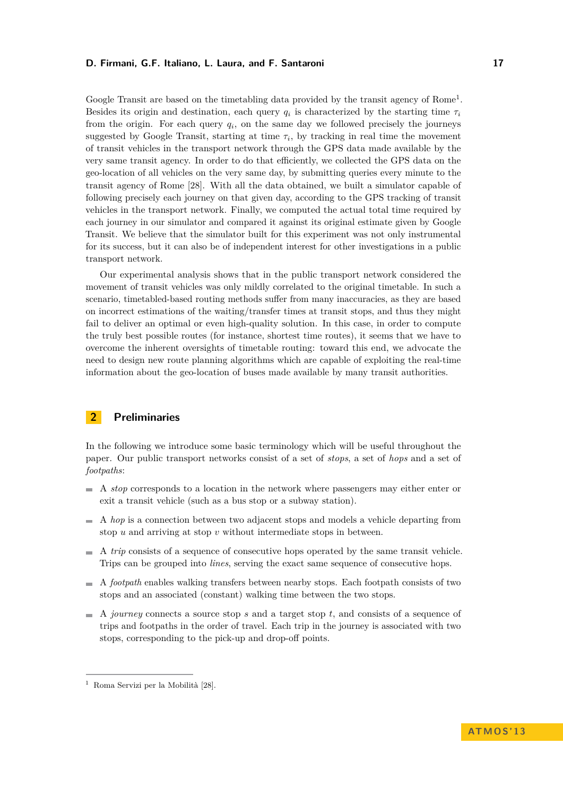#### **D. Firmani, G.F. Italiano, L. Laura, and F. Santaroni 17**

Google Transit are based on the timetabling data provided by the transit agency of Rome<sup>1</sup>. Besides its origin and destination, each query  $q_i$  is characterized by the starting time  $\tau_i$ from the origin. For each query  $q_i$ , on the same day we followed precisely the journeys suggested by Google Transit, starting at time  $\tau_i$ , by tracking in real time the movement of transit vehicles in the transport network through the GPS data made available by the very same transit agency. In order to do that efficiently, we collected the GPS data on the geo-location of all vehicles on the very same day, by submitting queries every minute to the transit agency of Rome [28]. With all the data obtained, we built a simulator capable of following precisely each journey on that given day, according to the GPS tracking of transit vehicles in the transport network. Finally, we computed the actual total time required by each journey in our simulator and compared it against its original estimate given by Google Transit. We believe that the simulator built for this experiment was not only instrumental for its success, but it can also be of independent interest for other investigations in a public transport network.

Our experimental analysis shows that in the public transport network considered the movement of transit vehicles was only mildly correlated to the original timetable. In such a scenario, timetabled-based routing methods suffer from many inaccuracies, as they are based on incorrect estimations of the waiting/transfer times at transit stops, and thus they might fail to deliver an optimal or even high-quality solution. In this case, in order to compute the truly best possible routes (for instance, shortest time routes), it seems that we have to overcome the inherent oversights of timetable routing: toward this end, we advocate the need to design new route planning algorithms which are capable of exploiting the real-time information about the geo-location of buses made available by many transit authorities.

## **2 Preliminaries**

In the following we introduce some basic terminology which will be useful throughout the paper. Our public transport networks consist of a set of *stops*, a set of *hops* and a set of *footpaths*:

- $\sim$ A *stop* corresponds to a location in the network where passengers may either enter or exit a transit vehicle (such as a bus stop or a subway station).
- A *hop* is a connection between two adjacent stops and models a vehicle departing from  $\sim$ stop *u* and arriving at stop *v* without intermediate stops in between.
- A *trip* consists of a sequence of consecutive hops operated by the same transit vehicle.  $\sim$ Trips can be grouped into *lines*, serving the exact same sequence of consecutive hops.
- A *footpath* enables walking transfers between nearby stops. Each footpath consists of two stops and an associated (constant) walking time between the two stops.
- A *journey* connects a source stop *s* and a target stop *t*, and consists of a sequence of trips and footpaths in the order of travel. Each trip in the journey is associated with two stops, corresponding to the pick-up and drop-off points.

<sup>1</sup> Roma Servizi per la Mobilità [28].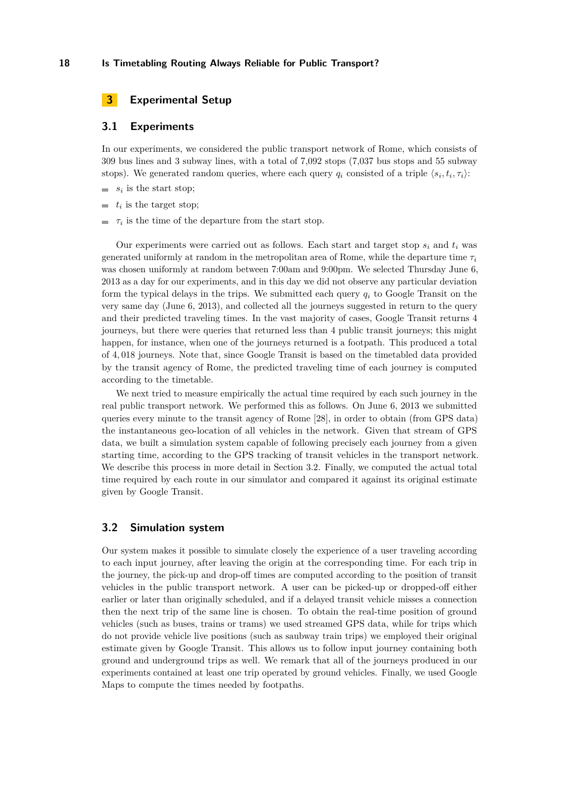#### **18 Is Timetabling Routing Always Reliable for Public Transport?**

## **3 Experimental Setup**

### **3.1 Experiments**

In our experiments, we considered the public transport network of Rome, which consists of 309 bus lines and 3 subway lines, with a total of 7,092 stops (7,037 bus stops and 55 subway stops). We generated random queries, where each query  $q_i$  consisted of a triple  $\langle s_i, t_i, \tau_i \rangle$ :

- $s_i$  is the start stop;
- $t_i$  is the target stop;
- $\tau_i$  is the time of the departure from the start stop.

Our experiments were carried out as follows. Each start and target stop  $s_i$  and  $t_i$  was generated uniformly at random in the metropolitan area of Rome, while the departure time  $\tau_i$ was chosen uniformly at random between 7:00am and 9:00pm. We selected Thursday June 6, 2013 as a day for our experiments, and in this day we did not observe any particular deviation form the typical delays in the trips. We submitted each query *q<sup>i</sup>* to Google Transit on the very same day (June 6, 2013), and collected all the journeys suggested in return to the query and their predicted traveling times. In the vast majority of cases, Google Transit returns 4 journeys, but there were queries that returned less than 4 public transit journeys; this might happen, for instance, when one of the journeys returned is a footpath. This produced a total of 4*,* 018 journeys. Note that, since Google Transit is based on the timetabled data provided by the transit agency of Rome, the predicted traveling time of each journey is computed according to the timetable.

We next tried to measure empirically the actual time required by each such journey in the real public transport network. We performed this as follows. On June 6, 2013 we submitted queries every minute to the transit agency of Rome [28], in order to obtain (from GPS data) the instantaneous geo-location of all vehicles in the network. Given that stream of GPS data, we built a simulation system capable of following precisely each journey from a given starting time, according to the GPS tracking of transit vehicles in the transport network. We describe this process in more detail in Section 3.2. Finally, we computed the actual total time required by each route in our simulator and compared it against its original estimate given by Google Transit.

### **3.2 Simulation system**

Our system makes it possible to simulate closely the experience of a user traveling according to each input journey, after leaving the origin at the corresponding time. For each trip in the journey, the pick-up and drop-off times are computed according to the position of transit vehicles in the public transport network. A user can be picked-up or dropped-off either earlier or later than originally scheduled, and if a delayed transit vehicle misses a connection then the next trip of the same line is chosen. To obtain the real-time position of ground vehicles (such as buses, trains or trams) we used streamed GPS data, while for trips which do not provide vehicle live positions (such as saubway train trips) we employed their original estimate given by Google Transit. This allows us to follow input journey containing both ground and underground trips as well. We remark that all of the journeys produced in our experiments contained at least one trip operated by ground vehicles. Finally, we used Google Maps to compute the times needed by footpaths.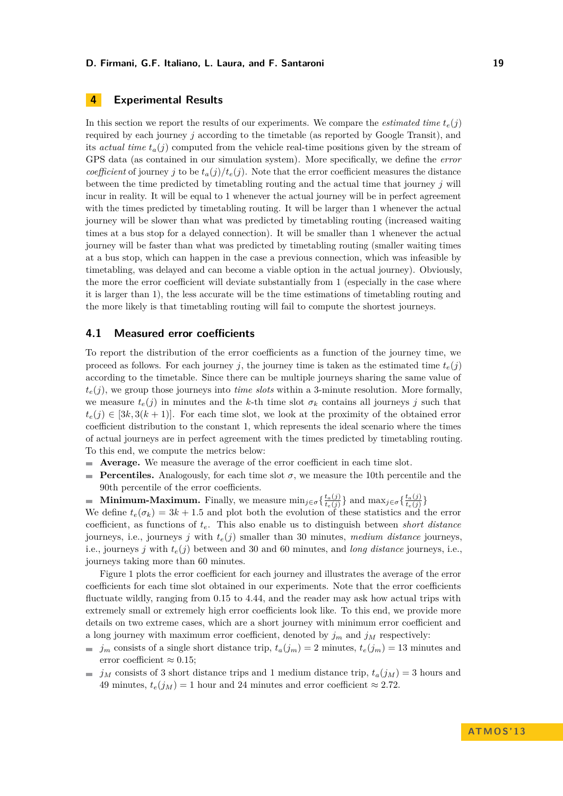## **4 Experimental Results**

In this section we report the results of our experiments. We compare the *estimated time*  $t_e(j)$ required by each journey *j* according to the timetable (as reported by Google Transit), and its *actual time*  $t_a(j)$  computed from the vehicle real-time positions given by the stream of GPS data (as contained in our simulation system). More specifically, we define the *error coefficient* of journey *j* to be  $t_a(j)/t_e(j)$ . Note that the error coefficient measures the distance between the time predicted by timetabling routing and the actual time that journey *j* will incur in reality. It will be equal to 1 whenever the actual journey will be in perfect agreement with the times predicted by timetabling routing. It will be larger than 1 whenever the actual journey will be slower than what was predicted by timetabling routing (increased waiting times at a bus stop for a delayed connection). It will be smaller than 1 whenever the actual journey will be faster than what was predicted by timetabling routing (smaller waiting times at a bus stop, which can happen in the case a previous connection, which was infeasible by timetabling, was delayed and can become a viable option in the actual journey). Obviously, the more the error coefficient will deviate substantially from 1 (especially in the case where it is larger than 1), the less accurate will be the time estimations of timetabling routing and the more likely is that timetabling routing will fail to compute the shortest journeys.

#### **4.1 Measured error coefficients**

To report the distribution of the error coefficients as a function of the journey time, we proceed as follows. For each journey *j*, the journey time is taken as the estimated time  $t_e(j)$ according to the timetable. Since there can be multiple journeys sharing the same value of  $t_e(i)$ , we group those journeys into *time slots* within a 3-minute resolution. More formally, we measure  $t_e(j)$  in minutes and the *k*-th time slot  $\sigma_k$  contains all journeys *j* such that  $t_e(j) \in [3k, 3(k+1)]$ . For each time slot, we look at the proximity of the obtained error coefficient distribution to the constant 1, which represents the ideal scenario where the times of actual journeys are in perfect agreement with the times predicted by timetabling routing. To this end, we compute the metrics below:

- **Average.** We measure the average of the error coefficient in each time slot.  $\mathcal{L}$
- **Percentiles.** Analogously, for each time slot  $\sigma$ , we measure the 10th percentile and the  $\overline{\phantom{a}}$ 90th percentile of the error coefficients.

**Minimum-Maximum.** Finally, we measure  $\min_{j \in \sigma} \{ \frac{t_a(j)}{t_a(j)} \}$  $\frac{t_a(j)}{t_e(j)}$ } and  $\max_{j \in \sigma} \left\{ \frac{t_a(j)}{t_e(j)} \right\}$  $\frac{t_a(j)}{t_e(j)}\}$ 

We define  $t_e(\sigma_k) = 3k + 1.5$  and plot both the evolution of these statistics and the error coefficient, as functions of *te*. This also enable us to distinguish between *short distance* journeys, i.e., journeys *j* with *te*(*j*) smaller than 30 minutes, *medium distance* journeys, i.e., journeys *j* with  $t_e(j)$  between and 30 and 60 minutes, and *long distance* journeys, i.e., journeys taking more than 60 minutes.

Figure 1 plots the error coefficient for each journey and illustrates the average of the error coefficients for each time slot obtained in our experiments. Note that the error coefficients fluctuate wildly, ranging from 0*.*15 to 4*.*44, and the reader may ask how actual trips with extremely small or extremely high error coefficients look like. To this end, we provide more details on two extreme cases, which are a short journey with minimum error coefficient and a long journey with maximum error coefficient, denoted by  $j_m$  and  $j_M$  respectively:

- $\hat{j}_m$  consists of a single short distance trip,  $t_a(j_m) = 2$  minutes,  $t_e(j_m) = 13$  minutes and error coefficient  $\approx 0.15$ ;
- $j_M$  consists of 3 short distance trips and 1 medium distance trip,  $t_a(j_M) = 3$  hours and  $\sim$ 49 minutes,  $t_e(j_M) = 1$  hour and 24 minutes and error coefficient  $\approx 2.72$ .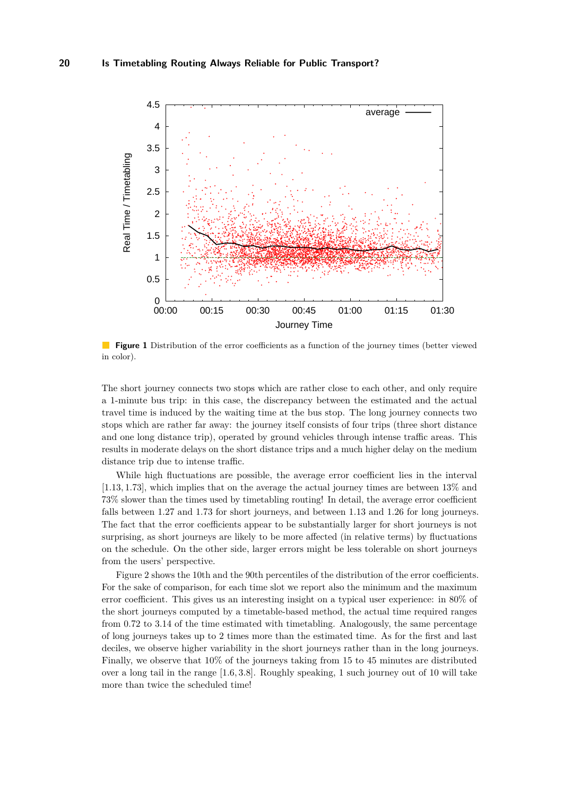

 $\mathcal{L}^{\mathcal{A}}$ **Figure 1** Distribution of the error coefficients as a function of the journey times (better viewed in color).

The short journey connects two stops which are rather close to each other, and only require a 1-minute bus trip: in this case, the discrepancy between the estimated and the actual travel time is induced by the waiting time at the bus stop. The long journey connects two stops which are rather far away: the journey itself consists of four trips (three short distance and one long distance trip), operated by ground vehicles through intense traffic areas. This results in moderate delays on the short distance trips and a much higher delay on the medium distance trip due to intense traffic.

While high fluctuations are possible, the average error coefficient lies in the interval [1*.*13*,* 1*.*73], which implies that on the average the actual journey times are between 13% and 73% slower than the times used by timetabling routing! In detail, the average error coefficient falls between 1*.*27 and 1*.*73 for short journeys, and between 1*.*13 and 1*.*26 for long journeys. The fact that the error coefficients appear to be substantially larger for short journeys is not surprising, as short journeys are likely to be more affected (in relative terms) by fluctuations on the schedule. On the other side, larger errors might be less tolerable on short journeys from the users' perspective.

Figure 2 shows the 10th and the 90th percentiles of the distribution of the error coefficients. For the sake of comparison, for each time slot we report also the minimum and the maximum error coefficient. This gives us an interesting insight on a typical user experience: in 80% of the short journeys computed by a timetable-based method, the actual time required ranges from 0*.*72 to 3*.*14 of the time estimated with timetabling. Analogously, the same percentage of long journeys takes up to 2 times more than the estimated time. As for the first and last deciles, we observe higher variability in the short journeys rather than in the long journeys. Finally, we observe that 10% of the journeys taking from 15 to 45 minutes are distributed over a long tail in the range [1*.*6*,* 3*.*8]. Roughly speaking, 1 such journey out of 10 will take more than twice the scheduled time!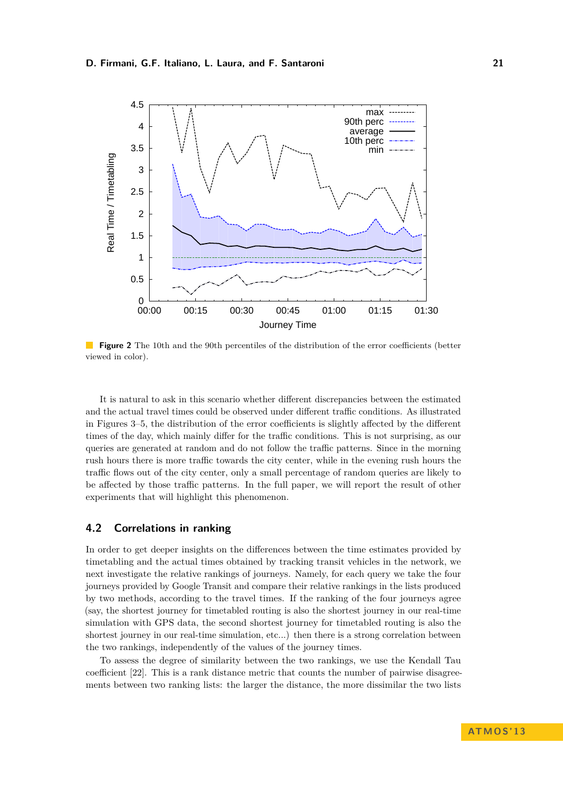

**Figure 2** The 10th and the 90th percentiles of the distribution of the error coefficients (better viewed in color).

It is natural to ask in this scenario whether different discrepancies between the estimated and the actual travel times could be observed under different traffic conditions. As illustrated in Figures 3–5, the distribution of the error coefficients is slightly affected by the different times of the day, which mainly differ for the traffic conditions. This is not surprising, as our queries are generated at random and do not follow the traffic patterns. Since in the morning rush hours there is more traffic towards the city center, while in the evening rush hours the traffic flows out of the city center, only a small percentage of random queries are likely to be affected by those traffic patterns. In the full paper, we will report the result of other experiments that will highlight this phenomenon.

## **4.2 Correlations in ranking**

In order to get deeper insights on the differences between the time estimates provided by timetabling and the actual times obtained by tracking transit vehicles in the network, we next investigate the relative rankings of journeys. Namely, for each query we take the four journeys provided by Google Transit and compare their relative rankings in the lists produced by two methods, according to the travel times. If the ranking of the four journeys agree (say, the shortest journey for timetabled routing is also the shortest journey in our real-time simulation with GPS data, the second shortest journey for timetabled routing is also the shortest journey in our real-time simulation, etc...) then there is a strong correlation between the two rankings, independently of the values of the journey times.

To assess the degree of similarity between the two rankings, we use the Kendall Tau coefficient [22]. This is a rank distance metric that counts the number of pairwise disagreements between two ranking lists: the larger the distance, the more dissimilar the two lists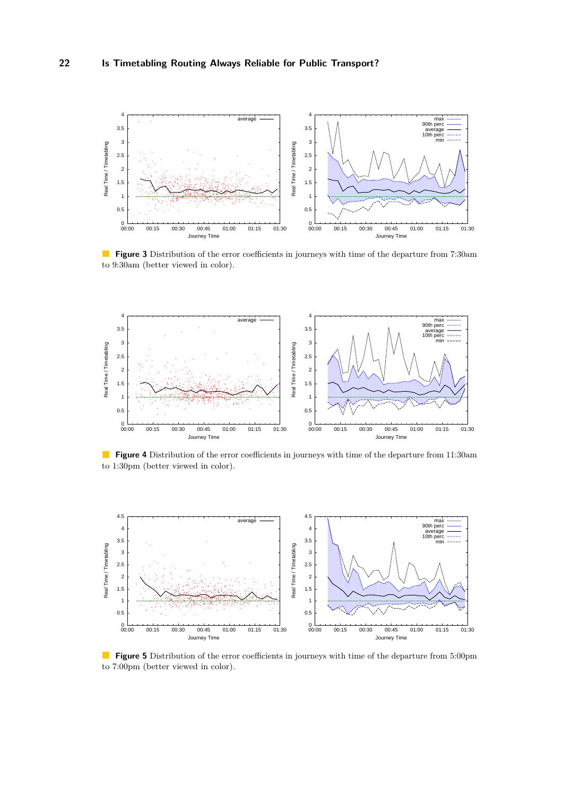

**Figure 3** Distribution of the error coefficients in journeys with time of the departure from 7:30am to 9:30am (better viewed in color).



**Figure 4** Distribution of the error coefficients in journeys with time of the departure from 11:30am to 1:30pm (better viewed in color).



**Figure 5** Distribution of the error coefficients in journeys with time of the departure from 5:00pm to 7:00pm (better viewed in color).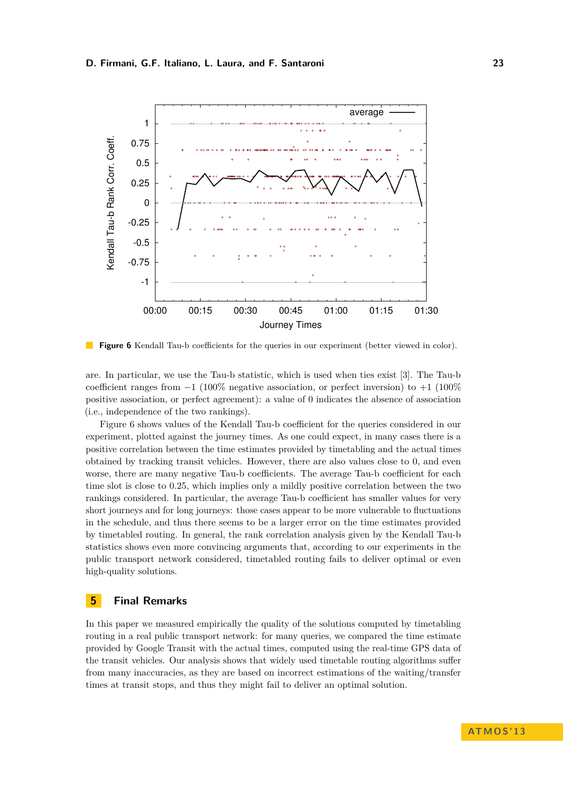

**Figure 6** Kendall Tau-b coefficients for the queries in our experiment (better viewed in color).

are. In particular, we use the Tau-b statistic, which is used when ties exist [3]. The Tau-b coefficient ranges from  $-1$  (100% negative association, or perfect inversion) to  $+1$  (100%) positive association, or perfect agreement): a value of 0 indicates the absence of association (i.e., independence of the two rankings).

Figure 6 shows values of the Kendall Tau-b coefficient for the queries considered in our experiment, plotted against the journey times. As one could expect, in many cases there is a positive correlation between the time estimates provided by timetabling and the actual times obtained by tracking transit vehicles. However, there are also values close to 0, and even worse, there are many negative Tau-b coefficients. The average Tau-b coefficient for each time slot is close to 0.25, which implies only a mildly positive correlation between the two rankings considered. In particular, the average Tau-b coefficient has smaller values for very short journeys and for long journeys: those cases appear to be more vulnerable to fluctuations in the schedule, and thus there seems to be a larger error on the time estimates provided by timetabled routing. In general, the rank correlation analysis given by the Kendall Tau-b statistics shows even more convincing arguments that, according to our experiments in the public transport network considered, timetabled routing fails to deliver optimal or even high-quality solutions.

## **5 Final Remarks**

In this paper we measured empirically the quality of the solutions computed by timetabling routing in a real public transport network: for many queries, we compared the time estimate provided by Google Transit with the actual times, computed using the real-time GPS data of the transit vehicles. Our analysis shows that widely used timetable routing algorithms suffer from many inaccuracies, as they are based on incorrect estimations of the waiting/transfer times at transit stops, and thus they might fail to deliver an optimal solution.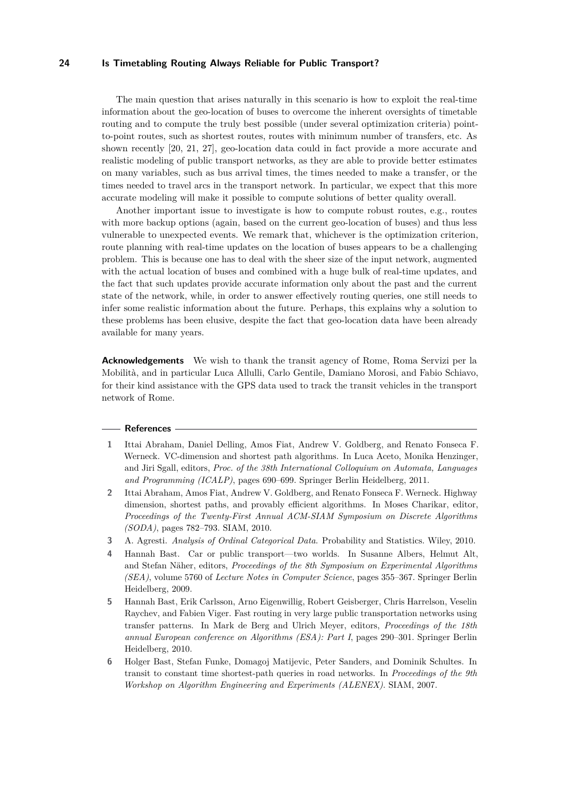#### **24 Is Timetabling Routing Always Reliable for Public Transport?**

The main question that arises naturally in this scenario is how to exploit the real-time information about the geo-location of buses to overcome the inherent oversights of timetable routing and to compute the truly best possible (under several optimization criteria) pointto-point routes, such as shortest routes, routes with minimum number of transfers, etc. As shown recently [20, 21, 27], geo-location data could in fact provide a more accurate and realistic modeling of public transport networks, as they are able to provide better estimates on many variables, such as bus arrival times, the times needed to make a transfer, or the times needed to travel arcs in the transport network. In particular, we expect that this more accurate modeling will make it possible to compute solutions of better quality overall.

Another important issue to investigate is how to compute robust routes, e.g., routes with more backup options (again, based on the current geo-location of buses) and thus less vulnerable to unexpected events. We remark that, whichever is the optimization criterion, route planning with real-time updates on the location of buses appears to be a challenging problem. This is because one has to deal with the sheer size of the input network, augmented with the actual location of buses and combined with a huge bulk of real-time updates, and the fact that such updates provide accurate information only about the past and the current state of the network, while, in order to answer effectively routing queries, one still needs to infer some realistic information about the future. Perhaps, this explains why a solution to these problems has been elusive, despite the fact that geo-location data have been already available for many years.

**Acknowledgements** We wish to thank the transit agency of Rome, Roma Servizi per la Mobilità, and in particular Luca Allulli, Carlo Gentile, Damiano Morosi, and Fabio Schiavo, for their kind assistance with the GPS data used to track the transit vehicles in the transport network of Rome.

#### **References**

- **1** Ittai Abraham, Daniel Delling, Amos Fiat, Andrew V. Goldberg, and Renato Fonseca F. Werneck. VC-dimension and shortest path algorithms. In Luca Aceto, Monika Henzinger, and Jiri Sgall, editors, *Proc. of the 38th International Colloquium on Automata, Languages and Programming (ICALP)*, pages 690–699. Springer Berlin Heidelberg, 2011.
- **2** Ittai Abraham, Amos Fiat, Andrew V. Goldberg, and Renato Fonseca F. Werneck. Highway dimension, shortest paths, and provably efficient algorithms. In Moses Charikar, editor, *Proceedings of the Twenty-First Annual ACM-SIAM Symposium on Discrete Algorithms (SODA)*, pages 782–793. SIAM, 2010.
- **3** A. Agresti. *Analysis of Ordinal Categorical Data*. Probability and Statistics. Wiley, 2010.
- **4** Hannah Bast. Car or public transport—two worlds. In Susanne Albers, Helmut Alt, and Stefan Näher, editors, *Proceedings of the 8th Symposium on Experimental Algorithms (SEA)*, volume 5760 of *Lecture Notes in Computer Science*, pages 355–367. Springer Berlin Heidelberg, 2009.
- **5** Hannah Bast, Erik Carlsson, Arno Eigenwillig, Robert Geisberger, Chris Harrelson, Veselin Raychev, and Fabien Viger. Fast routing in very large public transportation networks using transfer patterns. In Mark de Berg and Ulrich Meyer, editors, *Proceedings of the 18th annual European conference on Algorithms (ESA): Part I*, pages 290–301. Springer Berlin Heidelberg, 2010.
- **6** Holger Bast, Stefan Funke, Domagoj Matijevic, Peter Sanders, and Dominik Schultes. In transit to constant time shortest-path queries in road networks. In *Proceedings of the 9th Workshop on Algorithm Engineering and Experiments (ALENEX)*. SIAM, 2007.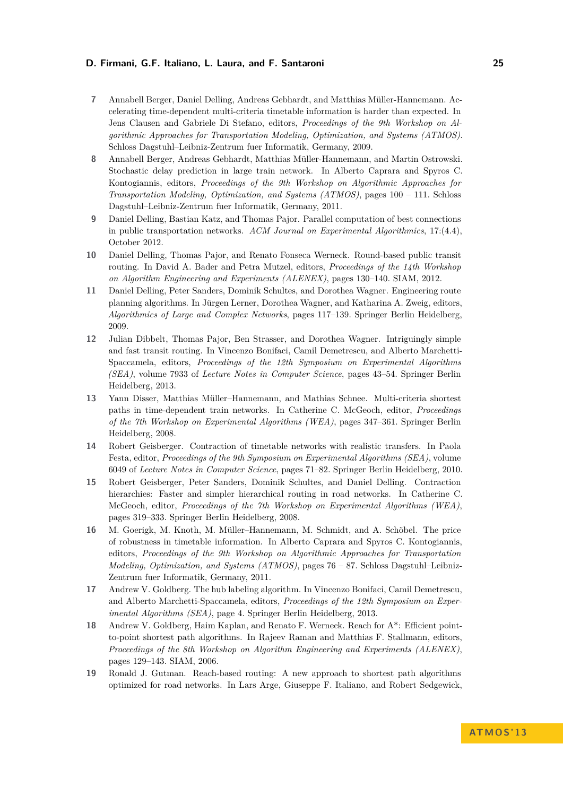### **D. Firmani, G.F. Italiano, L. Laura, and F. Santaroni 25**

- **7** Annabell Berger, Daniel Delling, Andreas Gebhardt, and Matthias Müller-Hannemann. Accelerating time-dependent multi-criteria timetable information is harder than expected. In Jens Clausen and Gabriele Di Stefano, editors, *Proceedings of the 9th Workshop on Algorithmic Approaches for Transportation Modeling, Optimization, and Systems (ATMOS)*. Schloss Dagstuhl–Leibniz-Zentrum fuer Informatik, Germany, 2009.
- **8** Annabell Berger, Andreas Gebhardt, Matthias Müller-Hannemann, and Martin Ostrowski. Stochastic delay prediction in large train network. In Alberto Caprara and Spyros C. Kontogiannis, editors, *Proceedings of the 9th Workshop on Algorithmic Approaches for Transportation Modeling, Optimization, and Systems (ATMOS)*, pages 100 – 111. Schloss Dagstuhl–Leibniz-Zentrum fuer Informatik, Germany, 2011.
- **9** Daniel Delling, Bastian Katz, and Thomas Pajor. Parallel computation of best connections in public transportation networks. *ACM Journal on Experimental Algorithmics*, 17:(4.4), October 2012.
- **10** Daniel Delling, Thomas Pajor, and Renato Fonseca Werneck. Round-based public transit routing. In David A. Bader and Petra Mutzel, editors, *Proceedings of the 14th Workshop on Algorithm Engineering and Experiments (ALENEX)*, pages 130–140. SIAM, 2012.
- **11** Daniel Delling, Peter Sanders, Dominik Schultes, and Dorothea Wagner. Engineering route planning algorithms. In Jürgen Lerner, Dorothea Wagner, and Katharina A. Zweig, editors, *Algorithmics of Large and Complex Networks*, pages 117–139. Springer Berlin Heidelberg, 2009.
- **12** Julian Dibbelt, Thomas Pajor, Ben Strasser, and Dorothea Wagner. Intriguingly simple and fast transit routing. In Vincenzo Bonifaci, Camil Demetrescu, and Alberto Marchetti-Spaccamela, editors, *Proceedings of the 12th Symposium on Experimental Algorithms (SEA)*, volume 7933 of *Lecture Notes in Computer Science*, pages 43–54. Springer Berlin Heidelberg, 2013.
- **13** Yann Disser, Matthias Müller–Hannemann, and Mathias Schnee. Multi-criteria shortest paths in time-dependent train networks. In Catherine C. McGeoch, editor, *Proceedings of the 7th Workshop on Experimental Algorithms (WEA)*, pages 347–361. Springer Berlin Heidelberg, 2008.
- **14** Robert Geisberger. Contraction of timetable networks with realistic transfers. In Paola Festa, editor, *Proceedings of the 9th Symposium on Experimental Algorithms (SEA)*, volume 6049 of *Lecture Notes in Computer Science*, pages 71–82. Springer Berlin Heidelberg, 2010.
- **15** Robert Geisberger, Peter Sanders, Dominik Schultes, and Daniel Delling. Contraction hierarchies: Faster and simpler hierarchical routing in road networks. In Catherine C. McGeoch, editor, *Proceedings of the 7th Workshop on Experimental Algorithms (WEA)*, pages 319–333. Springer Berlin Heidelberg, 2008.
- **16** M. Goerigk, M. Knoth, M. Müller–Hannemann, M. Schmidt, and A. Schöbel. The price of robustness in timetable information. In Alberto Caprara and Spyros C. Kontogiannis, editors, *Proceedings of the 9th Workshop on Algorithmic Approaches for Transportation Modeling, Optimization, and Systems (ATMOS)*, pages 76 – 87. Schloss Dagstuhl–Leibniz-Zentrum fuer Informatik, Germany, 2011.
- **17** Andrew V. Goldberg. The hub labeling algorithm. In Vincenzo Bonifaci, Camil Demetrescu, and Alberto Marchetti-Spaccamela, editors, *Proceedings of the 12th Symposium on Experimental Algorithms (SEA)*, page 4. Springer Berlin Heidelberg, 2013.
- **18** Andrew V. Goldberg, Haim Kaplan, and Renato F. Werneck. Reach for A\*: Efficient pointto-point shortest path algorithms. In Rajeev Raman and Matthias F. Stallmann, editors, *Proceedings of the 8th Workshop on Algorithm Engineering and Experiments (ALENEX)*, pages 129–143. SIAM, 2006.
- **19** Ronald J. Gutman. Reach-based routing: A new approach to shortest path algorithms optimized for road networks. In Lars Arge, Giuseppe F. Italiano, and Robert Sedgewick,